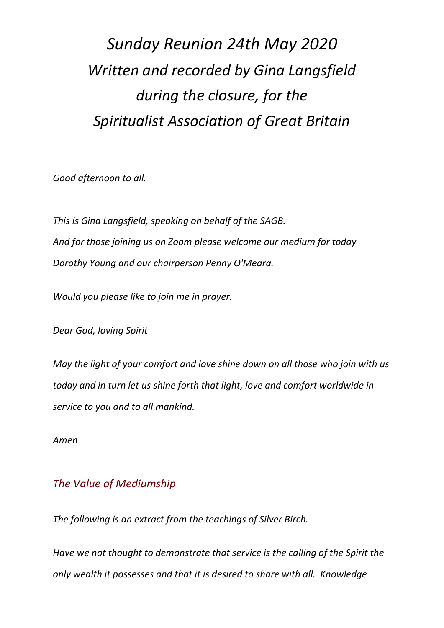## *Sunday Reunion 24th May 2020 Written and recorded by Gina Langsfield during the closure, for the Spiritualist Association of Great Britain*

*Good afternoon to all.*

*This is Gina Langsfield, speaking on behalf of the SAGB. And for those joining us on Zoom please welcome our medium for today Dorothy Young and our chairperson Penny O'Meara.*

*Would you please like to join me in prayer.*

*Dear God, loving Spirit*

*May the light of your comfort and love shine down on all those who join with us today and in turn let us shine forth that light, love and comfort worldwide in service to you and to all mankind.*

*Amen*

## *The Value of Mediumship*

*The following is an extract from the teachings of Silver Birch.*

*Have we not thought to demonstrate that service is the calling of the Spirit the only wealth it possesses and that it is desired to share with all. Knowledge*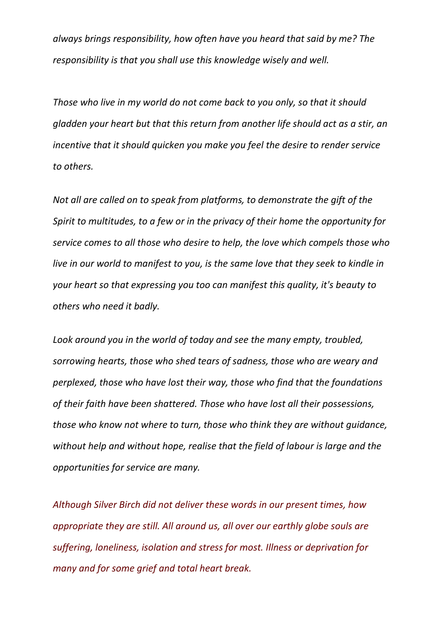*always brings responsibility, how often have you heard that said by me? The responsibility is that you shall use this knowledge wisely and well.*

*Those who live in my world do not come back to you only, so that it should gladden your heart but that this return from another life should act as a stir, an incentive that it should quicken you make you feel the desire to render service to others.* 

*Not all are called on to speak from platforms, to demonstrate the gift of the Spirit to multitudes, to a few or in the privacy of their home the opportunity for service comes to all those who desire to help, the love which compels those who live in our world to manifest to you, is the same love that they seek to kindle in your heart so that expressing you too can manifest this quality, it's beauty to others who need it badly.* 

*Look around you in the world of today and see the many empty, troubled, sorrowing hearts, those who shed tears of sadness, those who are weary and perplexed, those who have lost their way, those who find that the foundations of their faith have been shattered. Those who have lost all their possessions, those who know not where to turn, those who think they are without guidance, without help and without hope, realise that the field of labour is large and the opportunities for service are many.* 

*Although Silver Birch did not deliver these words in our present times, how appropriate they are still. All around us, all over our earthly globe souls are suffering, loneliness, isolation and stress for most. Illness or deprivation for many and for some grief and total heart break.*